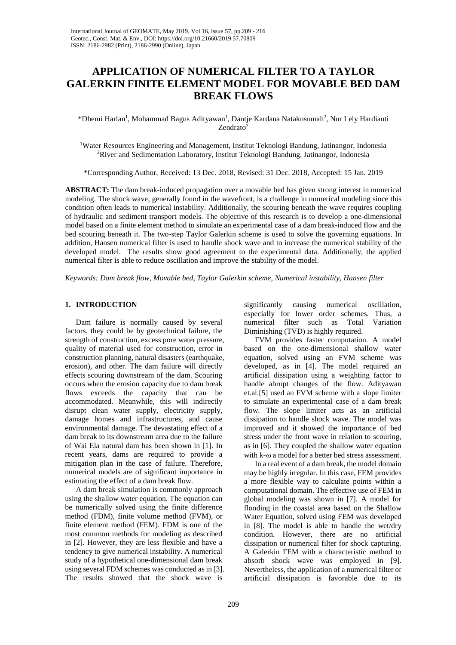# **APPLICATION OF NUMERICAL FILTER TO A TAYLOR GALERKIN FINITE ELEMENT MODEL FOR MOVABLE BED DAM BREAK FLOWS**

\*Dhemi Harlan<sup>1</sup>, Mohammad Bagus Adityawan<sup>1</sup>, Dantje Kardana Natakusumah<sup>2</sup>, Nur Lely Hardianti Zendrato<sup>2</sup>

1 Water Resources Engineering and Management, Institut Teknologi Bandung, Jatinangor, Indonesia <sup>2</sup>River and Sedimentation Laboratory, Institut Teknologi Bandung, Jatinangor, Indonesia

\*Corresponding Author, Received: 13 Dec. 2018, Revised: 31 Dec. 2018, Accepted: 15 Jan. 2019

**ABSTRACT:** The dam break-induced propagation over a movable bed has given strong interest in numerical modeling. The shock wave, generally found in the wavefront, is a challenge in numerical modeling since this condition often leads to numerical instability. Additionally, the scouring beneath the wave requires coupling of hydraulic and sediment transport models. The objective of this research is to develop a one-dimensional model based on a finite element method to simulate an experimental case of a dam break-induced flow and the bed scouring beneath it. The two-step Taylor Galerkin scheme is used to solve the governing equations. In addition, Hansen numerical filter is used to handle shock wave and to increase the numerical stability of the developed model. The results show good agreement to the experimental data. Additionally, the applied numerical filter is able to reduce oscillation and improve the stability of the model.

*Keywords: Dam break flow, Movable bed, Taylor Galerkin scheme, Numerical instability, Hansen filter*

# **1. INTRODUCTION**

Dam failure is normally caused by several factors, they could be by geotechnical failure, the strength of construction, excess pore water pressure, quality of material used for construction, error in construction planning, natural disasters (earthquake, erosion), and other. The dam failure will directly effects scouring downstream of the dam. Scouring occurs when the erosion capacity due to dam break flows exceeds the capacity that can be accommodated. Meanwhile, this will indirectly disrupt clean water supply, electricity supply, damage homes and infrastructures, and cause environmental damage. The devastating effect of a dam break to its downstream area due to the failure of Wai Ela natural dam has been shown in [1]. In recent years, dams are required to provide a mitigation plan in the case of failure. Therefore, numerical models are of significant importance in estimating the effect of a dam break flow.

A dam break simulation is commonly approach using the shallow water equation. The equation can be numerically solved using the finite difference method (FDM), finite volume method (FVM), or finite element method (FEM). FDM is one of the most common methods for modeling as described in [2]. However, they are less flexible and have a tendency to give numerical instability. A numerical study of a hypothetical one-dimensional dam break using several FDM schemes was conducted as in [3]. The results showed that the shock wave is

significantly causing numerical oscillation, especially for lower order schemes. Thus, a numerical filter such as Total Variation Diminishing (TVD) is highly required.

FVM provides faster computation. A model based on the one-dimensional shallow water equation, solved using an FVM scheme was developed, as in [4]. The model required an artificial dissipation using a weighting factor to handle abrupt changes of the flow. Adityawan et.al.[5] used an FVM scheme with a slope limiter to simulate an experimental case of a dam break flow. The slope limiter acts as an artificial dissipation to handle shock wave. The model was improved and it showed the importance of bed stress under the front wave in relation to scouring, as in [6]. They coupled the shallow water equation with k-ω a model for a better bed stress assessment.

In a real event of a dam break, the model domain may be highly irregular. In this case, FEM provides a more flexible way to calculate points within a computational domain. The effective use of FEM in global modeling was shown in [7]. A model for flooding in the coastal area based on the Shallow Water Equation, solved using FEM was developed in [8]. The model is able to handle the wet/dry condition. However, there are no artificial dissipation or numerical filter for shock capturing. A Galerkin FEM with a characteristic method to absorb shock wave was employed in [9]. Nevertheless, the application of a numerical filter or artificial dissipation is favorable due to its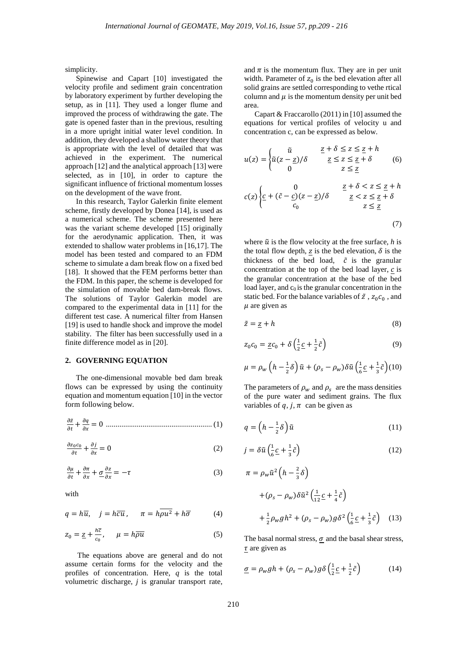simplicity.

Spinewise and Capart [10] investigated the velocity profile and sediment grain concentration by laboratory experiment by further developing the setup, as in [11]. They used a longer flume and improved the process of withdrawing the gate. The gate is opened faster than in the previous, resulting in a more upright initial water level condition. In addition, they developed a shallow water theory that is appropriate with the level of detailed that was achieved in the experiment. The numerical approach [12] and the analytical approach [13] were selected, as in [10], in order to capture the significant influence of frictional momentum losses on the development of the wave front.

In this research, Taylor Galerkin finite element scheme, firstly developed by Donea [14], is used as a numerical scheme. The scheme presented here was the variant scheme developed [15] originally for the aerodynamic application. Then, it was extended to shallow water problems in [16,17]. The model has been tested and compared to an FDM scheme to simulate a dam break flow on a fixed bed [18]. It showed that the FEM performs better than the FDM. In this paper, the scheme is developed for the simulation of movable bed dam-break flows. The solutions of Taylor Galerkin model are compared to the experimental data in [11] for the different test case. A numerical filter from Hansen [19] is used to handle shock and improve the model stability. The filter has been successfully used in a finite difference model as in [20].

#### **2. GOVERNING EQUATION**

The one-dimensional movable bed dam break flows can be expressed by using the continuity equation and momentum equation [10] in the vector form following below.

� <sup>+</sup> <sup>=</sup> <sup>0</sup> *.......................................................* (1)

$$
\frac{\partial z_0 c_0}{\partial t} + \frac{\partial j}{\partial x} = 0 \tag{2}
$$

$$
\frac{\partial \mu}{\partial t} + \frac{\partial \pi}{\partial x} + \underline{\sigma} \frac{\partial z}{\partial x} = -\tau \tag{3}
$$

with

$$
q = h\overline{u}, \quad j = h\overline{cu}, \quad \pi = h\overline{\rho u^2} + h\overline{\sigma}
$$
 (4)

$$
z_0 = \underline{z} + \frac{h\overline{c}}{c_0}, \qquad \mu = h\overline{\rho u} \tag{5}
$$

The equations above are general and do not assume certain forms for the velocity and the profiles of concentration. Here, *q* is the total volumetric discharge, *j* is granular transport rate, and  $\pi$  is the momentum flux. They are in per unit width. Parameter of  $z_0$  is the bed elevation after all solid grains are settled corresponding to vethe rtical column and  $\mu$  is the momentum density per unit bed area.

Capart & Fraccarollo (2011) in [10] assumed the equations for vertical profiles of velocity u and concentration c, can be expressed as below.

$$
u(z) = \begin{cases} \tilde{u} & \underline{z} + \delta \le z \le \underline{z} + h \\ \tilde{u}(z - \underline{z})/\delta & \underline{z} \le z \le \underline{z} + \delta \\ 0 & z \le \underline{z} \end{cases}
$$
 (6)  

$$
c(z) \begin{cases} 0 & \underline{z} + \delta < z \le \underline{z} + h \\ \frac{c}{c} + (\tilde{c} - \underline{c})(z - \underline{z})/\delta & \underline{z} < z \le \underline{z} + \delta \\ c_0 & z \le \underline{z} \end{cases}
$$
 (7)

where  $\tilde{u}$  is the flow velocity at the free surface, *h* is the total flow depth, z is the bed elevation,  $\delta$  is the thickness of the bed load,  $\tilde{c}$  is the granular concentration at the top of the bed load layer,  $c$  is the granular concentration at the base of the bed load layer, and  $c<sub>0</sub>$  is the granular concentration in the static bed. For the balance variables of  $\tilde{z}$ ,  $z_0 c_0$ , and  $\mu$  are given as

$$
\tilde{z} = \underline{z} + h \tag{8}
$$

$$
z_0 c_0 = \underline{z} c_0 + \delta \left( \frac{1}{2} \underline{c} + \frac{1}{2} \tilde{c} \right)
$$
 (9)

$$
\mu = \rho_w \left( h - \frac{1}{2} \delta \right) \tilde{u} + (\rho_s - \rho_w) \delta \tilde{u} \left( \frac{1}{6} \underline{c} + \frac{1}{3} \tilde{c} \right) (10)
$$

The parameters of  $\rho_w$  and  $\rho_s$  are the mass densities of the pure water and sediment grains. The flux variables of  $q$ ,  $j$ ,  $\pi$  can be given as

$$
q = \left(h - \frac{1}{2}\delta\right)\tilde{u} \tag{11}
$$

$$
j = \delta \tilde{u} \left( \frac{1}{6} \underline{c} + \frac{1}{3} \tilde{c} \right)
$$
 (12)

$$
\pi = \rho_w \tilde{u}^2 \left( h - \frac{2}{3} \delta \right)
$$
  
+  $(\rho_s - \rho_w) \delta \tilde{u}^2 \left( \frac{1}{12} \underline{c} + \frac{1}{4} \tilde{c} \right)$   
+  $\frac{1}{2} \rho_w g h^2 + (\rho_s - \rho_w) g \delta^2 \left( \frac{1}{6} \underline{c} + \frac{1}{3} \tilde{c} \right)$  (13)

The basal normal stress,  $\sigma$  and the basal shear stress,  $\tau$  are given as

$$
\underline{\sigma} = \rho_w g h + (\rho_s - \rho_w) g \delta \left( \frac{1}{2} \underline{c} + \frac{1}{2} \tilde{c} \right) \tag{14}
$$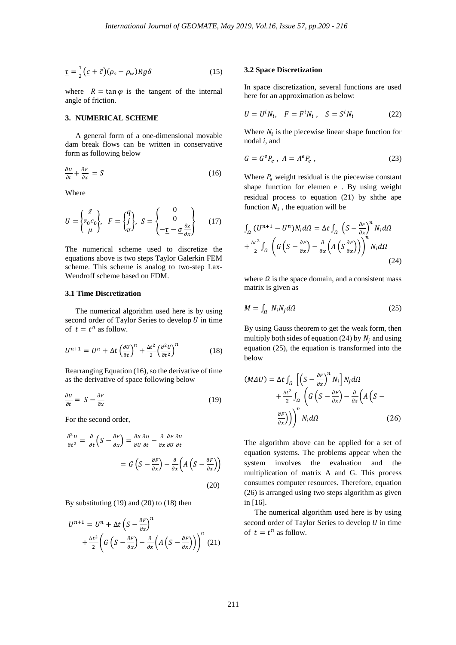$$
\underline{\tau} = \frac{1}{2} \left( \underline{c} + \tilde{c} \right) (\rho_s - \rho_w) R g \delta \tag{15}
$$

where  $R = \tan \varphi$  is the tangent of the internal angle of friction.

## **3. NUMERICAL SCHEME**

A general form of a one-dimensional movable dam break flows can be written in conservative form as following below

$$
\frac{\partial U}{\partial t} + \frac{\partial F}{\partial x} = S \tag{16}
$$

Where

$$
U = \begin{Bmatrix} \tilde{z} \\ z_0 c_0 \\ \mu \end{Bmatrix}, \quad F = \begin{Bmatrix} q \\ j \\ \pi \end{Bmatrix}, \quad S = \begin{Bmatrix} 0 \\ 0 \\ -\underline{\tau} - \underline{\sigma} \frac{\partial z}{\partial x} \end{Bmatrix} \tag{17}
$$

The numerical scheme used to discretize the equations above is two steps Taylor Galerkin FEM scheme. This scheme is analog to two-step Lax-Wendroff scheme based on FDM.

## **3.1 Time Discretization**

The numerical algorithm used here is by using second order of Taylor Series to develop  $U$  in time of  $t = t^n$  as follow.

$$
U^{n+1} = U^n + \Delta t \left(\frac{\partial U}{\partial t}\right)^n + \frac{\Delta t^2}{2} \left(\frac{\partial^2 U}{\partial t^2}\right)^n \tag{18}
$$

Rearranging Equation (16), so the derivative of time as the derivative of space following below

$$
\frac{\partial U}{\partial t} = S - \frac{\partial F}{\partial x} \tag{19}
$$

For the second order,

$$
\frac{\partial^2 U}{\partial t^2} = \frac{\partial}{\partial t} \left( S - \frac{\partial F}{\partial x} \right) = \frac{\partial S}{\partial U} \frac{\partial U}{\partial t} - \frac{\partial}{\partial x} \frac{\partial F}{\partial U} \frac{\partial U}{\partial t}
$$

$$
= G \left( S - \frac{\partial F}{\partial x} \right) - \frac{\partial}{\partial x} \left( A \left( S - \frac{\partial F}{\partial x} \right) \right) \tag{20}
$$

By substituting (19) and (20) to (18) then

$$
U^{n+1} = U^n + \Delta t \left( S - \frac{\partial F}{\partial x} \right)^n
$$

$$
+ \frac{\Delta t^2}{2} \left( G \left( S - \frac{\partial F}{\partial x} \right) - \frac{\partial}{\partial x} \left( A \left( S - \frac{\partial F}{\partial x} \right) \right) \right)^n (21)
$$

### **3.2 Space Discretization**

In space discretization, several functions are used here for an approximation as below:

$$
U = U^i N_i, \quad F = F^i N_i, \quad S = S^i N_i \tag{22}
$$

Where  $N_i$  is the piecewise linear shape function for nodal *i*, and

$$
G = G^e P_e , A = A^e P_e , \qquad (23)
$$

Where  $P_e$  weight residual is the piecewise constant shape function for elemen e . By using weight residual process to equation (21) by shthe ape function  $N_i$ , the equation will be

$$
\int_{\Omega} (U^{n+1} - U^n) N_i d\Omega = \Delta t \int_{\Omega} \left( S - \frac{\partial F}{\partial x} \right)^n N_i d\Omega \n+ \frac{\Delta t^2}{2} \int_{\Omega} \left( G \left( S - \frac{\partial F}{\partial x} \right) - \frac{\partial}{\partial x} \left( A \left( S \frac{\partial F}{\partial x} \right) \right) \right)^n N_i d\Omega
$$
\n(24)

where  $\Omega$  is the space domain, and a consistent mass matrix is given as

$$
M = \int_{\Omega} N_i N_j d\Omega \tag{25}
$$

By using Gauss theorem to get the weak form, then multiply both sides of equation (24) by  $N_i$  and using equation (25), the equation is transformed into the below

$$
(M \Delta U) = \Delta t \int_{\Omega} \left[ \left( S - \frac{\partial F}{\partial x} \right)^n N_i \right] N_j d\Omega + \frac{\Delta t^2}{2} \int_{\Omega} \left( G \left( S - \frac{\partial F}{\partial x} \right) - \frac{\partial}{\partial x} \left( A \left( S - \frac{\partial F}{\partial x} \right) \right) \right)^n N_i d\Omega
$$
(26)

The algorithm above can be applied for a set of equation systems. The problems appear when the system involves the evaluation and the multiplication of matrix A and G. This process consumes computer resources. Therefore, equation (26) is arranged using two steps algorithm as given in [16].

The numerical algorithm used here is by using second order of Taylor Series to develop  $U$  in time of  $t = t^n$  as follow.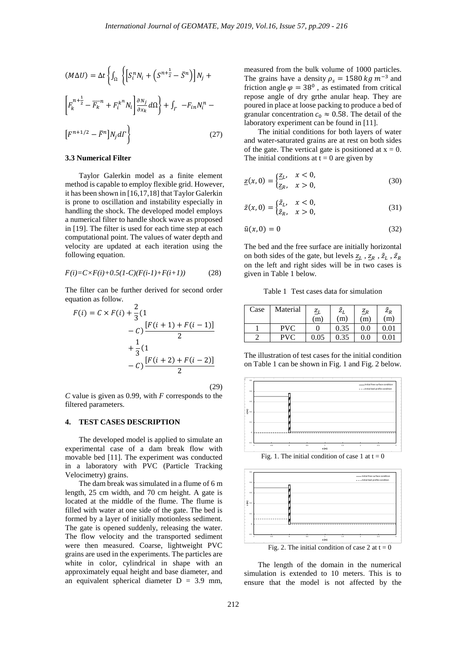$$
(M\Delta U) = \Delta t \left\{ \int_{\Omega} \left\{ \left[ S_i^n N_i + \left( S^{n + \frac{1}{2}} - \bar{S}^n \right) \right] N_j + \right. \right.
$$

$$
\left[ F_k^{n + \frac{1}{2}} - \overline{F_k}^n + F_i^{k^n} N_i \right] \frac{\partial N_j}{\partial x_k} d\Omega \right\} + \int_{\Gamma} -F_{in} N_i^n - \left[ F^{n + 1/2} - \bar{F}^n \right] N_j d\Gamma \right\} \tag{27}
$$

#### **3.3 Numerical Filter**

Taylor Galerkin model as a finite element method is capable to employ flexible grid. However, it has been shown in [16,17,18] that Taylor Galerkin is prone to oscillation and instability especially in handling the shock. The developed model employs a numerical filter to handle shock wave as proposed in [19]. The filter is used for each time step at each computational point. The values of water depth and velocity are updated at each iteration using the following equation.

$$
F(i) = C \times F(i) + 0.5(1-C)(F(i-1) + F(i+1))
$$
 (28)

The filter can be further derived for second order equation as follow.

$$
F(i) = C \times F(i) + \frac{2}{3}(1 - C) \frac{[F(i+1) + F(i-1)]}{2} + \frac{1}{3}(1 - C) \frac{[F(i+2) + F(i-2)]}{2}
$$

(29)

*C* value is given as 0.99, with *F* corresponds to the filtered parameters.

# **4. TEST CASES DESCRIPTION**

The developed model is applied to simulate an experimental case of a dam break flow with movable bed [11]. The experiment was conducted in a laboratory with PVC (Particle Tracking Velocimetry) grains.

The dam break was simulated in a flume of 6 m length, 25 cm width, and 70 cm height. A gate is located at the middle of the flume. The flume is filled with water at one side of the gate. The bed is formed by a layer of initially motionless sediment. The gate is opened suddenly, releasing the water. The flow velocity and the transported sediment were then measured. Coarse, lightweight PVC grains are used in the experiments. The particles are white in color, cylindrical in shape with an approximately equal height and base diameter, and an equivalent spherical diameter  $D = 3.9$  mm,

measured from the bulk volume of 1000 particles. The grains have a density  $\rho_s = 1580 \text{ kg m}^{-3}$  and friction angle  $\varphi = 38^0$ , as estimated from critical repose angle of dry grthe anular heap. They are poured in place at loose packing to produce a bed of granular concentration  $c_0 \approx 0.58$ . The detail of the laboratory experiment can be found in [11].

The initial conditions for both layers of water and water-saturated grains are at rest on both sides of the gate. The vertical gate is positioned at  $x = 0$ . The initial conditions at  $t = 0$  are given by

$$
\underline{z}(x,0) = \begin{cases} \underline{z}_L, & x < 0, \\ \underline{z}_R, & x > 0, \end{cases}
$$
 (30)

$$
\tilde{z}(x,0) = \begin{cases} \tilde{z}_L, & x < 0, \\ \tilde{z}_R, & x > 0, \end{cases}
$$
 (31)

$$
\tilde{u}(x,0) = 0\tag{32}
$$

The bed and the free surface are initially horizontal on both sides of the gate, but levels  $\underline{z}_L$ ,  $\underline{z}_R$ ,  $\tilde{z}_L$ ,  $\tilde{z}_R$ on the left and right sides will be in two cases is given in Table 1 below.

Table 1 Test cases data for simulation

| Case | Material   | $Z_L$ | $\tilde{Z}_L$ | $Z_R$   | $\tilde{Z}_R$ |
|------|------------|-------|---------------|---------|---------------|
|      |            | (m)   | (m)           | m)      | (m)           |
|      | PVC        |       | 0.35          | $0.0\,$ | $\rm 0.01$    |
|      | <b>PVC</b> | 0.05  | 0.35          | 0.0     | $0.01\,$      |

The illustration of test cases for the initial condition on Table 1 can be shown in Fig. 1 and Fig. 2 below.



Fig. 1. The initial condition of case 1 at  $t = 0$ 



The length of the domain in the numerical simulation is extended to 10 meters. This is to ensure that the model is not affected by the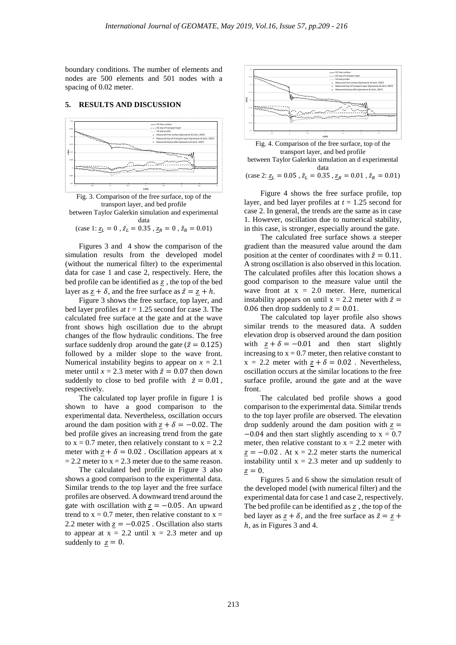boundary conditions. The number of elements and nodes are 500 elements and 501 nodes with a spacing of 0.02 meter.

# **5. RESULTS AND DISCUSSION**



Fig. 3. Comparison of the free surface, top of the transport layer, and bed profile

between Taylor Galerkin simulation and experimental data

$$
(\text{case 1: } \underline{z}_L = 0 \,, \tilde{z}_L = 0.35 \,, \underline{z}_R = 0 \,, \tilde{z}_R = 0.01)
$$

Figures 3 and 4 show the comparison of the simulation results from the developed model (without the numerical filter) to the experimental data for case 1 and case 2, respectively. Here, the bed profile can be identified as z, the top of the bed layer as  $z + \delta$ , and the free surface as  $\tilde{z} = z + h$ .

Figure 3 shows the free surface, top layer, and bed layer profiles at *t =* 1.25 second for case 3. The calculated free surface at the gate and at the wave front shows high oscillation due to the abrupt changes of the flow hydraulic conditions. The free surface suddenly drop around the gate ( $\tilde{z} = 0.125$ ) followed by a milder slope to the wave front. Numerical instability begins to appear on  $x = 2.1$ meter until  $x = 2.3$  meter with  $\tilde{z} = 0.07$  then down suddenly to close to bed profile with  $\tilde{z} = 0.01$ , respectively.

The calculated top layer profile in figure 1 is shown to have a good comparison to the experimental data. Nevertheless, oscillation occurs around the dam position with  $z + \delta = -0.02$ . The bed profile gives an increasing trend from the gate to  $x = 0.7$  meter, then relatively constant to  $x = 2.2$ meter with  $z + \delta = 0.02$ . Oscillation appears at x  $= 2.2$  meter to  $x = 2.3$  meter due to the same reason.

The calculated bed profile in Figure 3 also shows a good comparison to the experimental data. Similar trends to the top layer and the free surface profiles are observed. A downward trend around the gate with oscillation with  $z = -0.05$ . An upward trend to  $x = 0.7$  meter, then relative constant to  $x =$ 2.2 meter with  $z = -0.025$ . Oscillation also starts to appear at  $x = 2.2$  until  $x = 2.3$  meter and up suddenly to  $z = 0$ .





Figure 4 shows the free surface profile, top layer, and bed layer profiles at *t* = 1.25 second for case 2. In general, the trends are the same as in case 1. However, oscillation due to numerical stability, in this case, is stronger, especially around the gate.

The calculated free surface shows a steeper gradient than the measured value around the dam position at the center of coordinates with  $\tilde{z} = 0.11$ . A strong oscillation is also observed in this location. The calculated profiles after this location shows a good comparison to the measure value until the wave front at  $x = 2.0$  meter. Here, numerical instability appears on until  $x = 2.2$  meter with  $\tilde{z} =$ 0.06 then drop suddenly to  $\tilde{z} = 0.01$ .

The calculated top layer profile also shows similar trends to the measured data. A sudden elevation drop is observed around the dam position with  $\underline{z} + \delta = -0.01$  and then start slightly increasing to  $x = 0.7$  meter, then relative constant to  $x = 2.2$  meter with  $z + \delta = 0.02$ . Nevertheless, oscillation occurs at the similar locations to the free surface profile, around the gate and at the wave front.

The calculated bed profile shows a good comparison to the experimental data. Similar trends to the top layer profile are observed. The elevation drop suddenly around the dam position with  $z =$  $-0.04$  and then start slightly ascending to  $x = 0.7$ meter, then relative constant to  $x = 2.2$  meter with  $\underline{z} = -0.02$ . At  $x = 2.2$  meter starts the numerical instability until  $x = 2.3$  meter and up suddenly to  $z = 0$ .

Figures 5 and 6 show the simulation result of the developed model (with numerical filter) and the experimental data for case 1 and case 2, respectively. The bed profile can be identified as  $\frac{z}{z}$ , the top of the bed layer as  $z + \delta$ , and the free surface as  $\tilde{z} = z + \delta$ ℎ, as in Figures 3 and 4.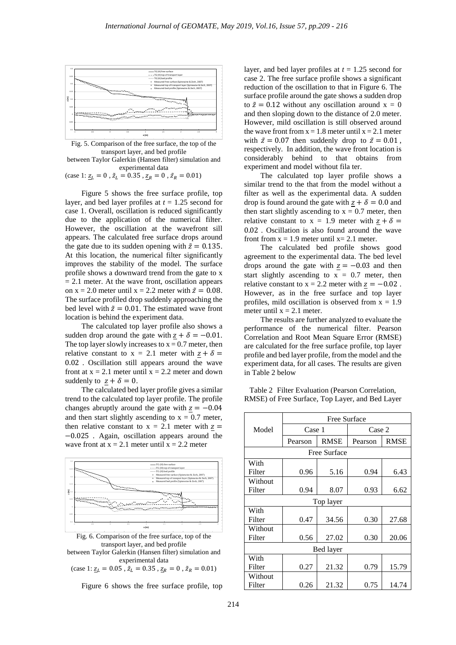

Fig. 5. Comparison of the free surface, the top of the transport layer, and bed profile between Taylor Galerkin (Hansen filter) simulation and experimental data

(case 1:  $\underline{z}_L = 0$ ,  $\tilde{z}_L = 0.35$ ,  $\underline{z}_R = 0$ ,  $\tilde{z}_R = 0.01$ )

Figure 5 shows the free surface profile, top layer, and bed layer profiles at *t* = 1.25 second for case 1. Overall, oscillation is reduced significantly due to the application of the numerical filter. However, the oscillation at the wavefront sill appears. The calculated free surface drops around the gate due to its sudden opening with  $\tilde{z} = 0.135$ . At this location, the numerical filter significantly improves the stability of the model. The surface profile shows a downward trend from the gate to x  $= 2.1$  meter. At the wave front, oscillation appears on  $x = 2.0$  meter until  $x = 2.2$  meter with  $\tilde{z} = 0.08$ . The surface profiled drop suddenly approaching the bed level with  $\tilde{z} = 0.01$ . The estimated wave front location is behind the experiment data.

The calculated top layer profile also shows a sudden drop around the gate with  $\frac{z}{2} + \delta = -0.01$ . The top layer slowly increases to  $x = 0.7$  meter, then relative constant to  $x = 2.1$  meter with  $z + \delta =$ 0.02 . Oscillation still appears around the wave front at  $x = 2.1$  meter until  $x = 2.2$  meter and down suddenly to  $\underline{z} + \delta = 0$ .

The calculated bed layer profile gives a similar trend to the calculated top layer profile. The profile changes abruptly around the gate with  $z = -0.04$ and then start slightly ascending to  $x = 0.7$  meter, then relative constant to  $x = 2.1$  meter with  $z =$ −0.025 . Again, oscillation appears around the wave front at  $x = 2.1$  meter until  $x = 2.2$  meter



Fig. 6. Comparison of the free surface, top of the transport layer, and bed profile between Taylor Galerkin (Hansen filter) simulation and experimental data (case 1:  $\underline{z}_L = 0.05$ ,  $\tilde{z}_L = 0.35$ ,  $\underline{z}_R = 0$ ,  $\tilde{z}_R = 0.01$ )

Figure 6 shows the free surface profile, top

layer, and bed layer profiles at *t* = 1.25 second for case 2. The free surface profile shows a significant reduction of the oscillation to that in Figure 6. The surface profile around the gate shows a sudden drop to  $\tilde{z} = 0.12$  without any oscillation around  $x = 0$ and then sloping down to the distance of 2.0 meter. However, mild oscillation is still observed around the wave front from  $x = 1.8$  meter until  $x = 2.1$  meter with  $\tilde{z} = 0.07$  then suddenly drop to  $\tilde{z} = 0.01$ , respectively. In addition, the wave front location is considerably behind to that obtains from experiment and model without fila ter.

The calculated top layer profile shows a similar trend to the that from the model without a filter as well as the experimental data. A sudden drop is found around the gate with  $z + \delta = 0.0$  and then start slightly ascending to  $x = 0.7$  meter, then relative constant to  $x = 1.9$  meter with  $z + \delta =$ 0.02 . Oscillation is also found around the wave front from  $x = 1.9$  meter until  $x = 2.1$  meter.

The calculated bed profile shows good agreement to the experimental data. The bed level drops around the gate with  $z = -0.03$  and then start slightly ascending to  $x = 0.7$  meter, then relative constant to  $x = 2.2$  meter with  $z = -0.02$ . However, as in the free surface and top layer profiles, mild oscillation is observed from  $x = 1.9$ meter until  $x = 2.1$  meter.

The results are further analyzed to evaluate the performance of the numerical filter. Pearson Correlation and Root Mean Square Error (RMSE) are calculated for the free surface profile, top layer profile and bed layer profile, from the model and the experiment data, for all cases. The results are given in Table 2 below

Table 2 Filter Evaluation (Pearson Correlation, RMSE) of Free Surface, Top Layer, and Bed Layer

|              | <b>Free Surface</b> |             |         |             |  |  |  |  |
|--------------|---------------------|-------------|---------|-------------|--|--|--|--|
| Model        | Case 1              |             | Case 2  |             |  |  |  |  |
|              | Pearson             | <b>RMSE</b> | Pearson | <b>RMSE</b> |  |  |  |  |
| Free Surface |                     |             |         |             |  |  |  |  |
| With         |                     |             |         |             |  |  |  |  |
| Filter       | 0.96                | 5.16        | 0.94    | 6.43        |  |  |  |  |
| Without      |                     |             |         |             |  |  |  |  |
| Filter       | 0.94                | 8.07        | 0.93    | 6.62        |  |  |  |  |
| Top layer    |                     |             |         |             |  |  |  |  |
| With         |                     |             |         |             |  |  |  |  |
| Filter       | 0.47                | 34.56       | 0.30    | 27.68       |  |  |  |  |
| Without      |                     |             |         |             |  |  |  |  |
| Filter       | 0.56                | 27.02       | 0.30    | 20.06       |  |  |  |  |
| Bed layer    |                     |             |         |             |  |  |  |  |
| With         |                     |             |         |             |  |  |  |  |
| Filter       | 0.27                | 21.32       | 0.79    | 15.79       |  |  |  |  |
| Without      |                     |             |         |             |  |  |  |  |
| Filter       | 0.26                | 21.32       | 0.75    | 14.74       |  |  |  |  |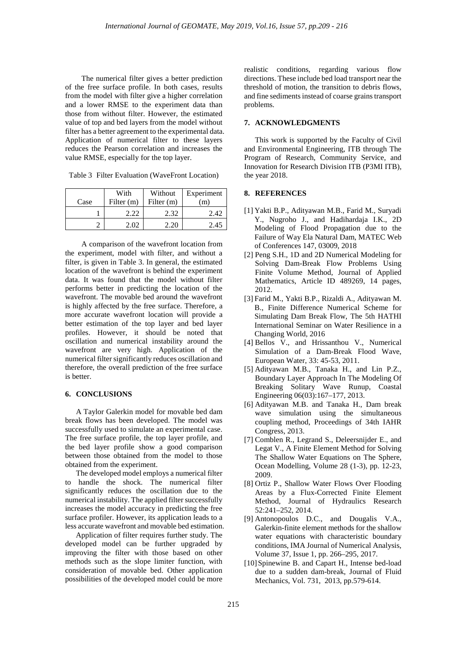The numerical filter gives a better prediction of the free surface profile. In both cases, results from the model with filter give a higher correlation and a lower RMSE to the experiment data than those from without filter. However, the estimated value of top and bed layers from the model without filter has a better agreement to the experimental data. Application of numerical filter to these layers reduces the Pearson correlation and increases the value RMSE, especially for the top layer.

| Table 3 Filter Evaluation (WaveFront Location) |  |
|------------------------------------------------|--|
|------------------------------------------------|--|

| Case | With<br>Filter $(m)$ | Without<br>Filter (m) | Experiment<br>m |
|------|----------------------|-----------------------|-----------------|
|      | 2.22                 | 2.32                  | 2.42            |
|      | 2.02                 | - 220                 | 2.45            |

A comparison of the wavefront location from the experiment, model with filter, and without a filter, is given in Table 3. In general, the estimated location of the wavefront is behind the experiment data. It was found that the model without filter performs better in predicting the location of the wavefront. The movable bed around the wavefront is highly affected by the free surface. Therefore, a more accurate wavefront location will provide a better estimation of the top layer and bed layer profiles. However, it should be noted that oscillation and numerical instability around the wavefront are very high. Application of the numerical filter significantly reduces oscillation and therefore, the overall prediction of the free surface is better.

# **6. CONCLUSIONS**

A Taylor Galerkin model for movable bed dam break flows has been developed. The model was successfully used to simulate an experimental case. The free surface profile, the top layer profile, and the bed layer profile show a good comparison between those obtained from the model to those obtained from the experiment.

The developed model employs a numerical filter to handle the shock. The numerical filter significantly reduces the oscillation due to the numerical instability. The applied filter successfully increases the model accuracy in predicting the free surface profiler. However, its application leads to a less accurate wavefront and movable bed estimation.

Application of filter requires further study. The developed model can be further upgraded by improving the filter with those based on other methods such as the slope limiter function, with consideration of movable bed. Other application possibilities of the developed model could be more

realistic conditions, regarding various flow directions. These include bed load transport near the threshold of motion, the transition to debris flows, and fine sediments instead of coarse grains transport problems.

# **7. ACKNOWLEDGMENTS**

This work is supported by the Faculty of Civil and Environmental Engineering, ITB through The Program of Research, Community Service, and Innovation for Research Division ITB (P3MI ITB), the year 2018.

## **8. REFERENCES**

- [1] Yakti B.P., Adityawan M.B., Farid M., Suryadi Y., Nugroho J., and Hadihardaja I.K., 2D Modeling of Flood Propagation due to the Failure of Way Ela Natural Dam, MATEC Web of Conferences 147, 03009, 2018
- [2] Peng S.H., 1D and 2D Numerical Modeling for Solving Dam-Break Flow Problems Using Finite Volume Method, Journal of Applied Mathematics, Article ID 489269, 14 pages, 2012.
- [3] Farid M., Yakti B.P., Rizaldi A., Adityawan M. B., Finite Difference Numerical Scheme for Simulating Dam Break Flow, The 5th HATHI International Seminar on Water Resilience in a Changing World, 2016
- [4] Bellos V., and Hrissanthou V., Numerical Simulation of a Dam-Break Flood Wave, European Water, 33: 45-53, 2011.
- [5] Adityawan M.B., Tanaka H., and Lin P.Z., Boundary Layer Approach In The Modeling Of Breaking Solitary Wave Runup, Coastal Engineering 06(03):167–177, 2013.
- [6] Adityawan M.B. and Tanaka H., Dam break wave simulation using the simultaneous coupling method, Proceedings of 34th IAHR Congress, 2013.
- [7] Comblen R., Legrand S., Deleersnijder E., and Legat V., A Finite Element Method for Solving The Shallow Water Equations on The Sphere, Ocean Modelling, Volume 28 (1-3), pp. 12-23, 2009.
- [8] Ortiz P., Shallow Water Flows Over Flooding Areas by a Flux-Corrected Finite Element Method, Journal of Hydraulics Research 52:241–252, 2014.
- [9] Antonopoulos D.C., and Dougalis V.A., Galerkin-finite element methods for the shallow water equations with characteristic boundary conditions, IMA Journal of Numerical Analysis, Volume 37, Issue 1, pp. 266–295, 2017.
- [10] Spinewine B. and Capart H., Intense bed-load due to a sudden dam-break, Journal of Fluid Mechanics, Vol. 731, 2013, pp.579-614.